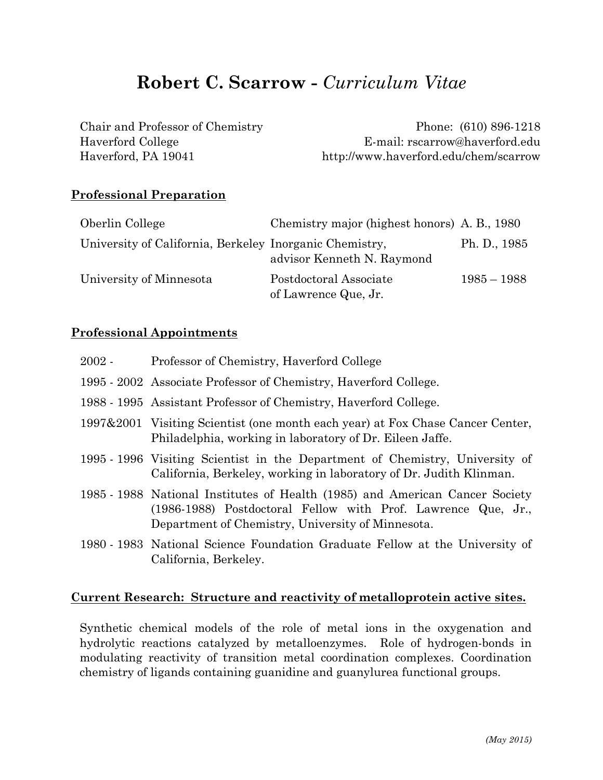# **Robert C. Scarrow -** *Curriculum Vitae*

| Chair and Professor of Chemistry | Phone: (610) 896-1218                 |
|----------------------------------|---------------------------------------|
| Haverford College                | E-mail: rscarrow@haverford.edu        |
| Haverford, PA 19041              | http://www.haverford.edu/chem/scarrow |

#### **Professional Preparation**

| Oberlin College                                         | Chemistry major (highest honors) A. B., 1980   |               |
|---------------------------------------------------------|------------------------------------------------|---------------|
| University of California, Berkeley Inorganic Chemistry, | advisor Kenneth N. Raymond                     | Ph. D., 1985  |
| University of Minnesota                                 | Postdoctoral Associate<br>of Lawrence Que, Jr. | $1985 - 1988$ |

#### **Professional Appointments**

| $2002 -$ | Professor of Chemistry, Haverford College                                                                                                                                                          |
|----------|----------------------------------------------------------------------------------------------------------------------------------------------------------------------------------------------------|
|          | 1995 - 2002 Associate Professor of Chemistry, Haverford College.                                                                                                                                   |
|          | 1988 - 1995 Assistant Professor of Chemistry, Haverford College.                                                                                                                                   |
|          | 1997&2001 Visiting Scientist (one month each year) at Fox Chase Cancer Center,<br>Philadelphia, working in laboratory of Dr. Eileen Jaffe.                                                         |
|          | 1995 - 1996 Visiting Scientist in the Department of Chemistry, University of<br>California, Berkeley, working in laboratory of Dr. Judith Klinman.                                                 |
|          | 1985 - 1988 National Institutes of Health (1985) and American Cancer Society<br>(1986-1988) Postdoctoral Fellow with Prof. Lawrence Que, Jr.,<br>Department of Chemistry, University of Minnesota. |
|          | 1980 - 1983 National Science Foundation Graduate Fellow at the University of<br>California, Berkeley.                                                                                              |

#### **Current Research: Structure and reactivity of metalloprotein active sites.**

Synthetic chemical models of the role of metal ions in the oxygenation and hydrolytic reactions catalyzed by metalloenzymes. Role of hydrogen-bonds in modulating reactivity of transition metal coordination complexes. Coordination chemistry of ligands containing guanidine and guanylurea functional groups.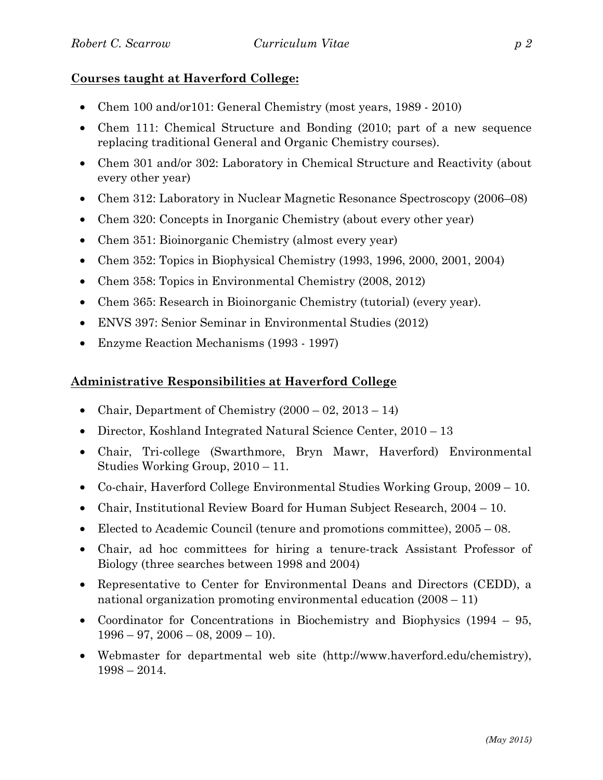# **Courses taught at Haverford College:**

- Chem 100 and/or101: General Chemistry (most years, 1989 2010)
- Chem 111: Chemical Structure and Bonding (2010; part of a new sequence replacing traditional General and Organic Chemistry courses).
- Chem 301 and/or 302: Laboratory in Chemical Structure and Reactivity (about every other year)
- Chem 312: Laboratory in Nuclear Magnetic Resonance Spectroscopy (2006–08)
- Chem 320: Concepts in Inorganic Chemistry (about every other year)
- Chem 351: Bioinorganic Chemistry (almost every year)
- Chem 352: Topics in Biophysical Chemistry (1993, 1996, 2000, 2001, 2004)
- Chem 358: Topics in Environmental Chemistry (2008, 2012)
- Chem 365: Research in Bioinorganic Chemistry (tutorial) (every year).
- ENVS 397: Senior Seminar in Environmental Studies (2012)
- Enzyme Reaction Mechanisms (1993 1997)

# **Administrative Responsibilities at Haverford College**

- Chair, Department of Chemistry  $(2000 02, 2013 14)$
- Director, Koshland Integrated Natural Science Center, 2010 13
- Chair, Tri-college (Swarthmore, Bryn Mawr, Haverford) Environmental Studies Working Group, 2010 – 11.
- Co-chair, Haverford College Environmental Studies Working Group, 2009 10.
- Chair, Institutional Review Board for Human Subject Research, 2004 10.
- Elected to Academic Council (tenure and promotions committee),  $2005 08$ .
- Chair, ad hoc committees for hiring a tenure-track Assistant Professor of Biology (three searches between 1998 and 2004)
- Representative to Center for Environmental Deans and Directors (CEDD), a national organization promoting environmental education (2008 – 11)
- Coordinator for Concentrations in Biochemistry and Biophysics (1994 95,  $1996 - 97$ ,  $2006 - 08$ ,  $2009 - 10$ ).
- Webmaster for departmental web site (http://www.haverford.edu/chemistry), 1998 – 2014.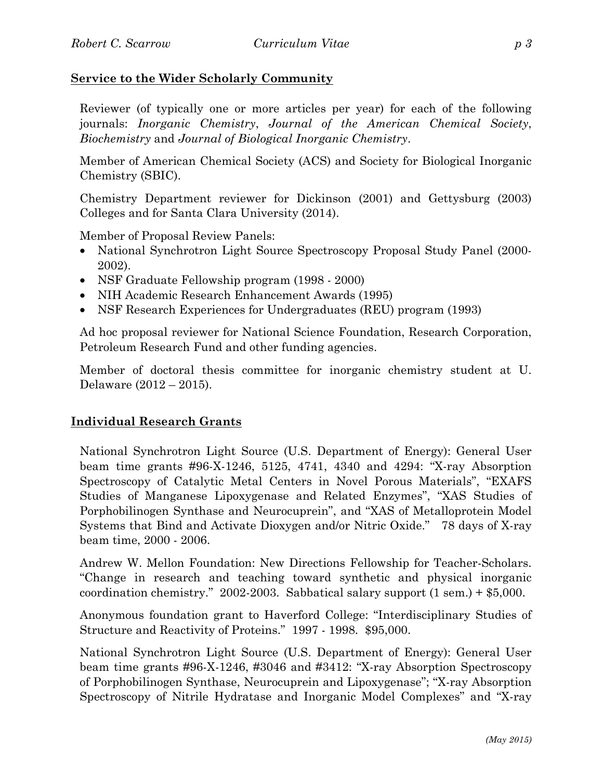# **Service to the Wider Scholarly Community**

Reviewer (of typically one or more articles per year) for each of the following journals: *Inorganic Chemistry*, *Journal of the American Chemical Society*, *Biochemistry* and *Journal of Biological Inorganic Chemistry*.

Member of American Chemical Society (ACS) and Society for Biological Inorganic Chemistry (SBIC).

Chemistry Department reviewer for Dickinson (2001) and Gettysburg (2003) Colleges and for Santa Clara University (2014).

Member of Proposal Review Panels:

- National Synchrotron Light Source Spectroscopy Proposal Study Panel (2000-2002).
- NSF Graduate Fellowship program (1998 2000)
- NIH Academic Research Enhancement Awards (1995)
- NSF Research Experiences for Undergraduates (REU) program (1993)

Ad hoc proposal reviewer for National Science Foundation, Research Corporation, Petroleum Research Fund and other funding agencies.

Member of doctoral thesis committee for inorganic chemistry student at U. Delaware (2012 – 2015).

#### **Individual Research Grants**

National Synchrotron Light Source (U.S. Department of Energy): General User beam time grants #96-X-1246, 5125, 4741, 4340 and 4294: "X-ray Absorption Spectroscopy of Catalytic Metal Centers in Novel Porous Materials", "EXAFS Studies of Manganese Lipoxygenase and Related Enzymes", "XAS Studies of Porphobilinogen Synthase and Neurocuprein", and "XAS of Metalloprotein Model Systems that Bind and Activate Dioxygen and/or Nitric Oxide." 78 days of X-ray beam time, 2000 - 2006.

Andrew W. Mellon Foundation: New Directions Fellowship for Teacher-Scholars. "Change in research and teaching toward synthetic and physical inorganic coordination chemistry." 2002-2003. Sabbatical salary support (1 sem.) + \$5,000.

Anonymous foundation grant to Haverford College: "Interdisciplinary Studies of Structure and Reactivity of Proteins." 1997 - 1998. \$95,000.

National Synchrotron Light Source (U.S. Department of Energy): General User beam time grants #96-X-1246, #3046 and #3412: "X-ray Absorption Spectroscopy of Porphobilinogen Synthase, Neurocuprein and Lipoxygenase"; "X-ray Absorption Spectroscopy of Nitrile Hydratase and Inorganic Model Complexes" and "X-ray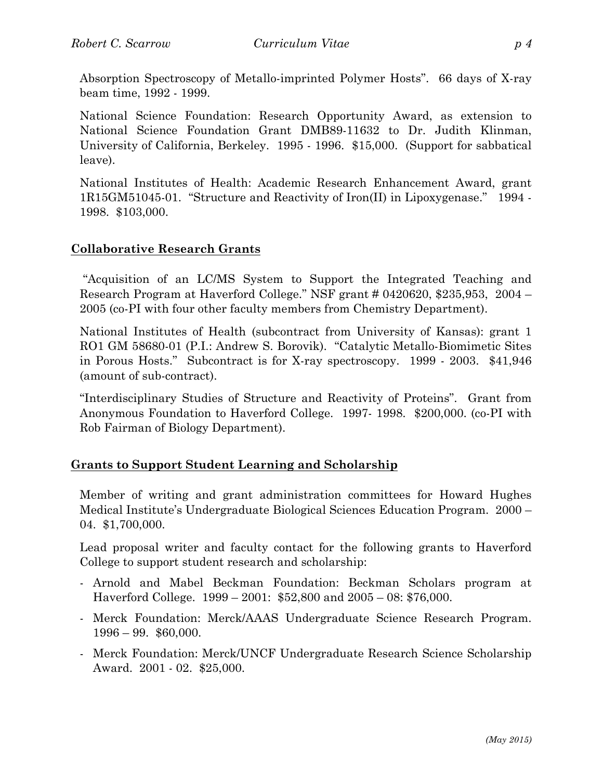Absorption Spectroscopy of Metallo-imprinted Polymer Hosts". 66 days of X-ray beam time, 1992 - 1999.

National Science Foundation: Research Opportunity Award, as extension to National Science Foundation Grant DMB89-11632 to Dr. Judith Klinman, University of California, Berkeley. 1995 - 1996. \$15,000. (Support for sabbatical leave).

National Institutes of Health: Academic Research Enhancement Award, grant 1R15GM51045-01. "Structure and Reactivity of Iron(II) in Lipoxygenase." 1994 - 1998. \$103,000.

#### **Collaborative Research Grants**

"Acquisition of an LC/MS System to Support the Integrated Teaching and Research Program at Haverford College." NSF grant # 0420620, \$235,953, 2004 – 2005 (co-PI with four other faculty members from Chemistry Department).

National Institutes of Health (subcontract from University of Kansas): grant 1 RO1 GM 58680-01 (P.I.: Andrew S. Borovik). "Catalytic Metallo-Biomimetic Sites in Porous Hosts." Subcontract is for X-ray spectroscopy. 1999 - 2003. \$41,946 (amount of sub-contract).

"Interdisciplinary Studies of Structure and Reactivity of Proteins". Grant from Anonymous Foundation to Haverford College. 1997- 1998. \$200,000. (co-PI with Rob Fairman of Biology Department).

#### **Grants to Support Student Learning and Scholarship**

Member of writing and grant administration committees for Howard Hughes Medical Institute's Undergraduate Biological Sciences Education Program. 2000 – 04. \$1,700,000.

Lead proposal writer and faculty contact for the following grants to Haverford College to support student research and scholarship:

- Arnold and Mabel Beckman Foundation: Beckman Scholars program at Haverford College. 1999 – 2001: \$52,800 and 2005 – 08: \$76,000.
- Merck Foundation: Merck/AAAS Undergraduate Science Research Program. 1996 – 99. \$60,000.
- Merck Foundation: Merck/UNCF Undergraduate Research Science Scholarship Award. 2001 - 02. \$25,000.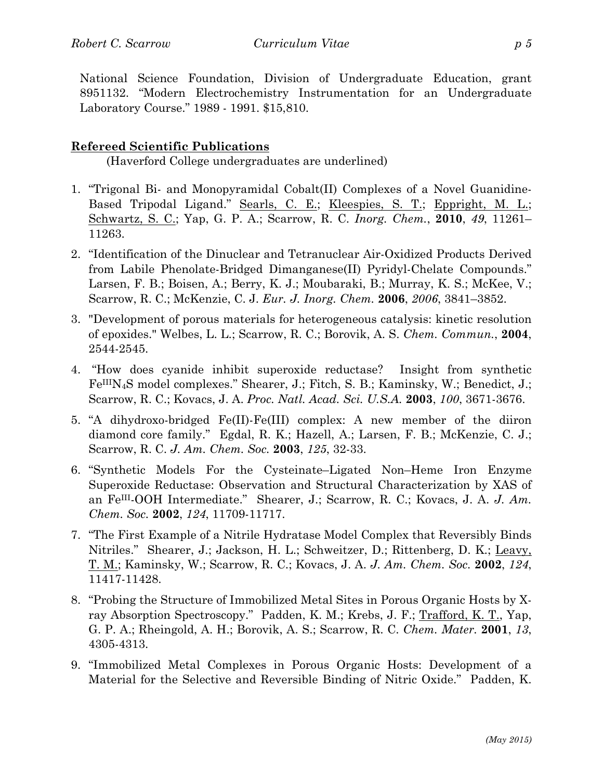National Science Foundation, Division of Undergraduate Education, grant 8951132. "Modern Electrochemistry Instrumentation for an Undergraduate Laboratory Course." 1989 - 1991. \$15,810.

#### **Refereed Scientific Publications**

(Haverford College undergraduates are underlined)

- 1. "Trigonal Bi- and Monopyramidal Cobalt(II) Complexes of a Novel Guanidine-Based Tripodal Ligand." Searls, C. E.; Kleespies, S. T.; Eppright, M. L.; Schwartz, S. C.; Yap, G. P. A.; Scarrow, R. C. *Inorg. Chem.*, **2010**, *49*, 11261– 11263.
- 2. "Identification of the Dinuclear and Tetranuclear Air-Oxidized Products Derived from Labile Phenolate-Bridged Dimanganese(II) Pyridyl-Chelate Compounds." Larsen, F. B.; Boisen, A.; Berry, K. J.; Moubaraki, B.; Murray, K. S.; McKee, V.; Scarrow, R. C.; McKenzie, C. J. *Eur. J. Inorg. Chem.* **2006**, *2006*, 3841–3852.
- 3. "Development of porous materials for heterogeneous catalysis: kinetic resolution of epoxides." Welbes, L. L.; Scarrow, R. C.; Borovik, A. S. *Chem. Commun.*, **2004**, 2544-2545.
- 4. "How does cyanide inhibit superoxide reductase? Insight from synthetic FeIIIN4S model complexes." Shearer, J.; Fitch, S. B.; Kaminsky, W.; Benedict, J.; Scarrow, R. C.; Kovacs, J. A. *Proc. Natl. Acad. Sci. U.S.A.* **2003**, *100*, 3671-3676.
- 5. "A dihydroxo-bridged Fe(II)-Fe(III) complex: A new member of the diiron diamond core family."Egdal, R. K.; Hazell, A.; Larsen, F. B.; McKenzie, C. J.; Scarrow, R. C. *J. Am. Chem. Soc.* **2003**, *125*, 32-33.
- 6. "Synthetic Models For the Cysteinate–Ligated Non–Heme Iron Enzyme Superoxide Reductase: Observation and Structural Characterization by XAS of an FeIII-OOH Intermediate."Shearer, J.; Scarrow, R. C.; Kovacs, J. A. *J. Am. Chem. Soc.* **2002**, *124*, 11709-11717.
- 7. "The First Example of a Nitrile Hydratase Model Complex that Reversibly Binds Nitriles."Shearer, J.; Jackson, H. L.; Schweitzer, D.; Rittenberg, D. K.; Leavy, T. M.; Kaminsky, W.; Scarrow, R. C.; Kovacs, J. A. *J. Am. Chem. Soc.* **2002**, *124*, 11417-11428.
- 8. "Probing the Structure of Immobilized Metal Sites in Porous Organic Hosts by Xray Absorption Spectroscopy." Padden, K. M.; Krebs, J. F.; Trafford, K. T., Yap, G. P. A.; Rheingold, A. H.; Borovik, A. S.; Scarrow, R. C. *Chem. Mater.* **2001**, *13*, 4305-4313.
- 9. "Immobilized Metal Complexes in Porous Organic Hosts: Development of a Material for the Selective and Reversible Binding of Nitric Oxide."Padden, K.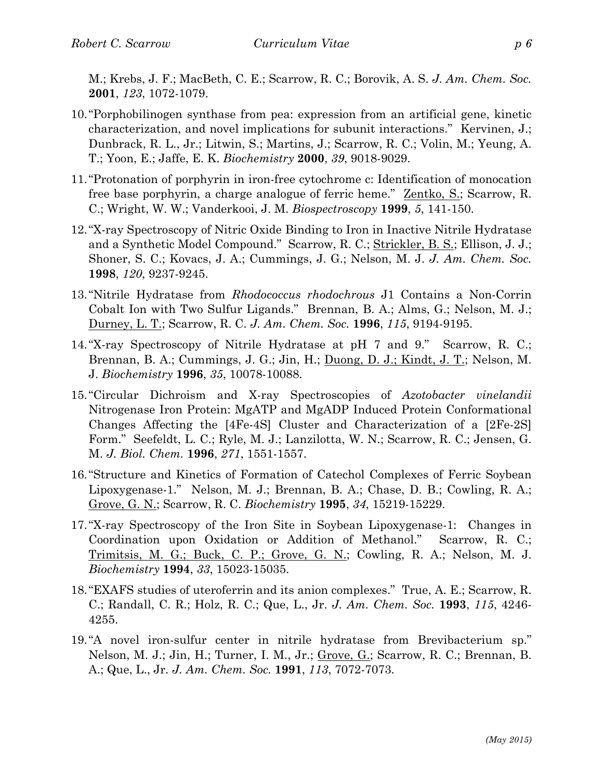M.; Krebs, J. F.; MacBeth, C. E.; Scarrow, R. C.; Borovik, A. S. *J. Am. Chem. Soc.*  **2001**, *123*, 1072-1079.

- 10."Porphobilinogen synthase from pea: expression from an artificial gene, kinetic characterization, and novel implications for subunit interactions."Kervinen, J.; Dunbrack, R. L., Jr.; Litwin, S.; Martins, J.; Scarrow, R. C.; Volin, M.; Yeung, A. T.; Yoon, E.; Jaffe, E. K. *Biochemistry* **2000**, *39*, 9018-9029.
- 11."Protonation of porphyrin in iron-free cytochrome c: Identification of monocation free base porphyrin, a charge analogue of ferric heme."Zentko, S.; Scarrow, R. C.; Wright, W. W.; Vanderkooi, J. M. *Biospectroscopy* **1999**, *5*, 141-150.
- 12."X-ray Spectroscopy of Nitric Oxide Binding to Iron in Inactive Nitrile Hydratase and a Synthetic Model Compound."Scarrow, R. C.; Strickler, B. S.; Ellison, J. J.; Shoner, S. C.; Kovacs, J. A.; Cummings, J. G.; Nelson, M. J. *J. Am. Chem. Soc.*  **1998**, *120*, 9237-9245.
- 13."Nitrile Hydratase from *Rhodococcus rhodochrous* J1 Contains a Non-Corrin Cobalt Ion with Two Sulfur Ligands."Brennan, B. A.; Alms, G.; Nelson, M. J.; Durney, L. T.; Scarrow, R. C. *J. Am. Chem. Soc.* **1996**, *115*, 9194-9195.
- 14."X-ray Spectroscopy of Nitrile Hydratase at pH 7 and 9."Scarrow, R. C.; Brennan, B. A.; Cummings, J. G.; Jin, H.; Duong, D. J.; Kindt, J. T.; Nelson, M. J. *Biochemistry* **1996**, *35*, 10078-10088.
- 15."Circular Dichroism and X-ray Spectroscopies of *Azotobacter vinelandii* Nitrogenase Iron Protein: MgATP and MgADP Induced Protein Conformational Changes Affecting the [4Fe-4S] Cluster and Characterization of a [2Fe-2S] Form."Seefeldt, L. C.; Ryle, M. J.; Lanzilotta, W. N.; Scarrow, R. C.; Jensen, G. M. *J. Biol. Chem.* **1996**, *271*, 1551-1557.
- 16."Structure and Kinetics of Formation of Catechol Complexes of Ferric Soybean Lipoxygenase-1."Nelson, M. J.; Brennan, B. A.; Chase, D. B.; Cowling, R. A.; Grove, G. N.; Scarrow, R. C. *Biochemistry* **1995**, *34*, 15219-15229.
- 17."X-ray Spectroscopy of the Iron Site in Soybean Lipoxygenase-1: Changes in Coordination upon Oxidation or Addition of Methanol."Scarrow, R. C.; Trimitsis, M. G.; Buck, C. P.; Grove, G. N.; Cowling, R. A.; Nelson, M. J. *Biochemistry* **1994**, *33*, 15023-15035.
- 18."EXAFS studies of uteroferrin and its anion complexes."True, A. E.; Scarrow, R. C.; Randall, C. R.; Holz, R. C.; Que, L., Jr. *J. Am. Chem. Soc.* **1993**, *115*, 4246- 4255.
- 19."A novel iron-sulfur center in nitrile hydratase from Brevibacterium sp." Nelson, M. J.; Jin, H.; Turner, I. M., Jr.; Grove, G.; Scarrow, R. C.; Brennan, B. A.; Que, L., Jr. *J. Am. Chem. Soc.* **1991**, *113*, 7072-7073.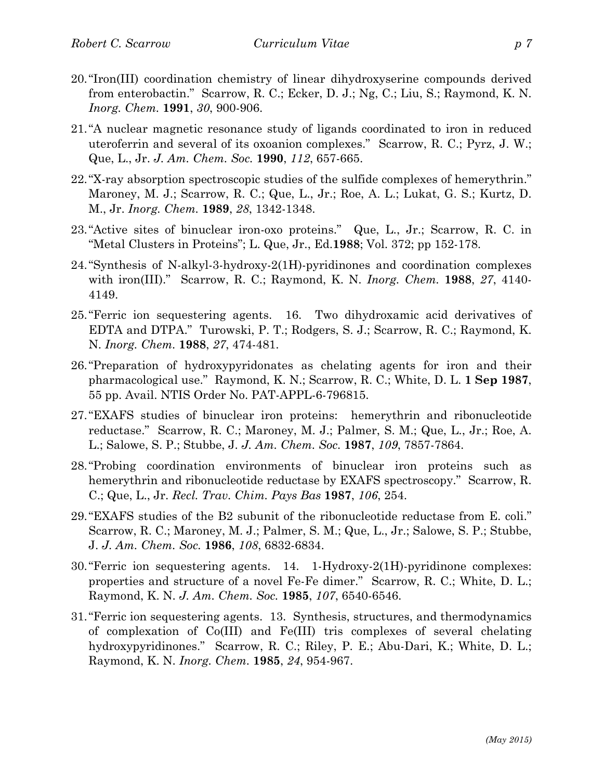- 20."Iron(III) coordination chemistry of linear dihydroxyserine compounds derived from enterobactin."Scarrow, R. C.; Ecker, D. J.; Ng, C.; Liu, S.; Raymond, K. N. *Inorg. Chem.* **1991**, *30*, 900-906.
- 21."A nuclear magnetic resonance study of ligands coordinated to iron in reduced uteroferrin and several of its oxoanion complexes."Scarrow, R. C.; Pyrz, J. W.; Que, L., Jr. *J. Am. Chem. Soc.* **1990**, *112*, 657-665.
- 22."X-ray absorption spectroscopic studies of the sulfide complexes of hemerythrin." Maroney, M. J.; Scarrow, R. C.; Que, L., Jr.; Roe, A. L.; Lukat, G. S.; Kurtz, D. M., Jr. *Inorg. Chem.* **1989**, *28*, 1342-1348.
- 23."Active sites of binuclear iron-oxo proteins."Que, L., Jr.; Scarrow, R. C. in "Metal Clusters in Proteins"; L. Que, Jr., Ed.**1988**; Vol. 372; pp 152-178.
- 24."Synthesis of N-alkyl-3-hydroxy-2(1H)-pyridinones and coordination complexes with iron(III)."Scarrow, R. C.; Raymond, K. N. *Inorg. Chem.* **1988**, *27*, 4140- 4149.
- 25."Ferric ion sequestering agents. 16. Two dihydroxamic acid derivatives of EDTA and DTPA."Turowski, P. T.; Rodgers, S. J.; Scarrow, R. C.; Raymond, K. N. *Inorg. Chem.* **1988**, *27*, 474-481.
- 26."Preparation of hydroxypyridonates as chelating agents for iron and their pharmacological use."Raymond, K. N.; Scarrow, R. C.; White, D. L. **1 Sep 1987**, 55 pp. Avail. NTIS Order No. PAT-APPL-6-796815.
- 27."EXAFS studies of binuclear iron proteins: hemerythrin and ribonucleotide reductase."Scarrow, R. C.; Maroney, M. J.; Palmer, S. M.; Que, L., Jr.; Roe, A. L.; Salowe, S. P.; Stubbe, J. *J. Am. Chem. Soc.* **1987**, *109*, 7857-7864.
- 28."Probing coordination environments of binuclear iron proteins such as hemerythrin and ribonucleotide reductase by EXAFS spectroscopy."Scarrow, R. C.; Que, L., Jr. *Recl. Trav. Chim. Pays Bas* **1987**, *106*, 254.
- 29."EXAFS studies of the B2 subunit of the ribonucleotide reductase from E. coli." Scarrow, R. C.; Maroney, M. J.; Palmer, S. M.; Que, L., Jr.; Salowe, S. P.; Stubbe, J. *J. Am. Chem. Soc.* **1986**, *108*, 6832-6834.
- 30."Ferric ion sequestering agents. 14. 1-Hydroxy-2(1H)-pyridinone complexes: properties and structure of a novel Fe-Fe dimer."Scarrow, R. C.; White, D. L.; Raymond, K. N. *J. Am. Chem. Soc.* **1985**, *107*, 6540-6546.
- 31."Ferric ion sequestering agents. 13. Synthesis, structures, and thermodynamics of complexation of Co(III) and Fe(III) tris complexes of several chelating hydroxypyridinones."Scarrow, R. C.; Riley, P. E.; Abu-Dari, K.; White, D. L.; Raymond, K. N. *Inorg. Chem.* **1985**, *24*, 954-967.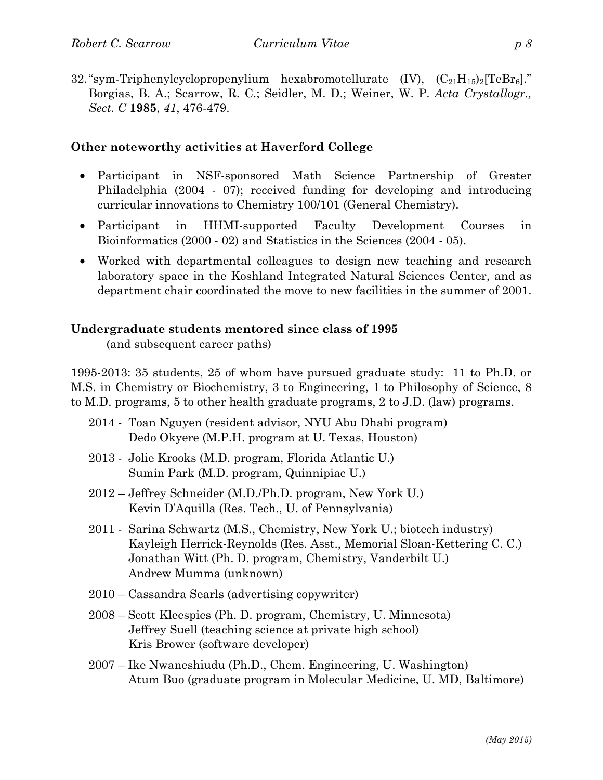32. "sym-Triphenylcyclopropenylium hexabromotellurate  $(V)$ ,  $(C_{21}H_{15})_2[TeBr_6]$ ." Borgias, B. A.; Scarrow, R. C.; Seidler, M. D.; Weiner, W. P. *Acta Crystallogr., Sect. C* **1985**, *41*, 476-479.

### **Other noteworthy activities at Haverford College**

- Participant in NSF-sponsored Math Science Partnership of Greater Philadelphia (2004 - 07); received funding for developing and introducing curricular innovations to Chemistry 100/101 (General Chemistry).
- Participant in HHMI-supported Faculty Development Courses in Bioinformatics (2000 - 02) and Statistics in the Sciences (2004 - 05).
- Worked with departmental colleagues to design new teaching and research laboratory space in the Koshland Integrated Natural Sciences Center, and as department chair coordinated the move to new facilities in the summer of 2001.

#### **Undergraduate students mentored since class of 1995**

(and subsequent career paths)

1995-2013: 35 students, 25 of whom have pursued graduate study: 11 to Ph.D. or M.S. in Chemistry or Biochemistry, 3 to Engineering, 1 to Philosophy of Science, 8 to M.D. programs, 5 to other health graduate programs, 2 to J.D. (law) programs.

- 2014 Toan Nguyen (resident advisor, NYU Abu Dhabi program) Dedo Okyere (M.P.H. program at U. Texas, Houston)
- 2013 Jolie Krooks (M.D. program, Florida Atlantic U.) Sumin Park (M.D. program, Quinnipiac U.)
- 2012 Jeffrey Schneider (M.D./Ph.D. program, New York U.) Kevin D'Aquilla (Res. Tech., U. of Pennsylvania)
- 2011 Sarina Schwartz (M.S., Chemistry, New York U.; biotech industry) Kayleigh Herrick-Reynolds (Res. Asst., Memorial Sloan-Kettering C. C.) Jonathan Witt (Ph. D. program, Chemistry, Vanderbilt U.) Andrew Mumma (unknown)
- 2010 Cassandra Searls (advertising copywriter)
- 2008 Scott Kleespies (Ph. D. program, Chemistry, U. Minnesota) Jeffrey Suell (teaching science at private high school) Kris Brower (software developer)
- 2007 Ike Nwaneshiudu (Ph.D., Chem. Engineering, U. Washington) Atum Buo (graduate program in Molecular Medicine, U. MD, Baltimore)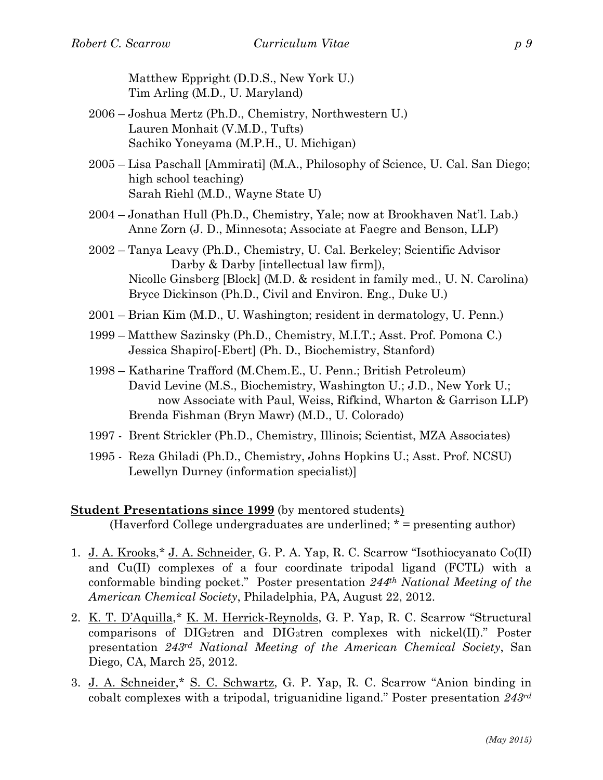Matthew Eppright (D.D.S., New York U.) Tim Arling (M.D., U. Maryland)

- 2006 Joshua Mertz (Ph.D., Chemistry, Northwestern U.) Lauren Monhait (V.M.D., Tufts) Sachiko Yoneyama (M.P.H., U. Michigan)
- 2005 Lisa Paschall [Ammirati] (M.A., Philosophy of Science, U. Cal. San Diego; high school teaching) Sarah Riehl (M.D., Wayne State U)
- 2004 Jonathan Hull (Ph.D., Chemistry, Yale; now at Brookhaven Nat'l. Lab.) Anne Zorn (J. D., Minnesota; Associate at Faegre and Benson, LLP)
- 2002 Tanya Leavy (Ph.D., Chemistry, U. Cal. Berkeley; Scientific Advisor Darby & Darby [intellectual law firm]), Nicolle Ginsberg [Block] (M.D. & resident in family med., U. N. Carolina) Bryce Dickinson (Ph.D., Civil and Environ. Eng., Duke U.)
- 2001 Brian Kim (M.D., U. Washington; resident in dermatology, U. Penn.)
- 1999 Matthew Sazinsky (Ph.D., Chemistry, M.I.T.; Asst. Prof. Pomona C.) Jessica Shapiro[-Ebert] (Ph. D., Biochemistry, Stanford)
- 1998 Katharine Trafford (M.Chem.E., U. Penn.; British Petroleum) David Levine (M.S., Biochemistry, Washington U.; J.D., New York U.; now Associate with Paul, Weiss, Rifkind, Wharton & Garrison LLP) Brenda Fishman (Bryn Mawr) (M.D., U. Colorado)
- 1997 Brent Strickler (Ph.D., Chemistry, Illinois; Scientist, MZA Associates)
- 1995 Reza Ghiladi (Ph.D., Chemistry, Johns Hopkins U.; Asst. Prof. NCSU) Lewellyn Durney (information specialist)]

#### **Student Presentations since 1999** (by mentored students)

(Haverford College undergraduates are underlined; \* = presenting author)

- 1. J. A. Krooks,\* J. A. Schneider, G. P. A. Yap, R. C. Scarrow "Isothiocyanato Co(II) and Cu(II) complexes of a four coordinate tripodal ligand (FCTL) with a conformable binding pocket." Poster presentation *244th National Meeting of the American Chemical Society*, Philadelphia, PA, August 22, 2012.
- 2. K. T. D'Aquilla,\* K. M. Herrick-Reynolds, G. P. Yap, R. C. Scarrow "Structural comparisons of  $\text{DIG}_2$ tren and  $\text{DIG}_3$ tren complexes with nickel(II)." Poster presentation *243rd National Meeting of the American Chemical Society*, San Diego, CA, March 25, 2012.
- 3. J. A. Schneider,\* S. C. Schwartz, G. P. Yap, R. C. Scarrow "Anion binding in cobalt complexes with a tripodal, triguanidine ligand." Poster presentation *243rd*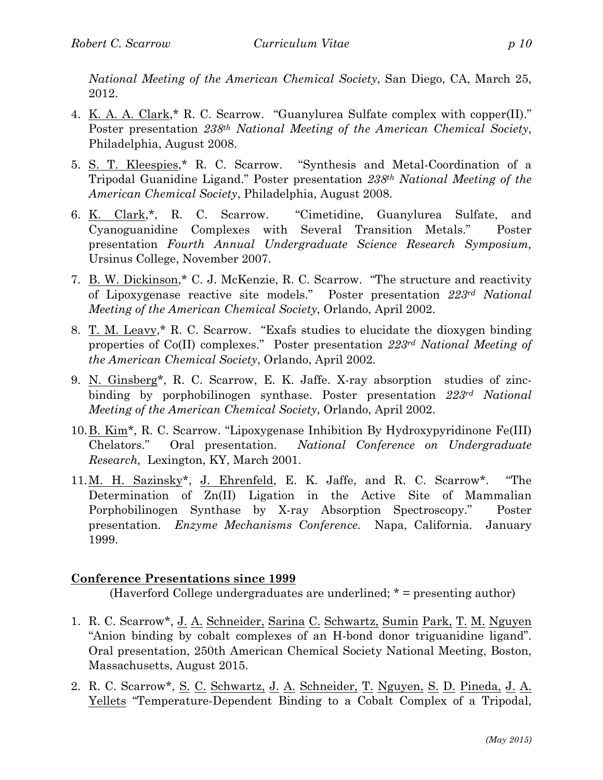*National Meeting of the American Chemical Society*, San Diego, CA, March 25, 2012.

- 4. K. A. A. Clark,\* R. C. Scarrow. "Guanylurea Sulfate complex with copper(II)." Poster presentation *238th National Meeting of the American Chemical Society*, Philadelphia, August 2008.
- 5. S. T. Kleespies,\* R. C. Scarrow. "Synthesis and Metal-Coordination of a Tripodal Guanidine Ligand." Poster presentation *238th National Meeting of the American Chemical Society*, Philadelphia, August 2008.
- 6. K. Clark,\*, R. C. Scarrow. "Cimetidine, Guanylurea Sulfate, and Cyanoguanidine Complexes with Several Transition Metals." Poster presentation *Fourth Annual Undergraduate Science Research Symposium,*  Ursinus College, November 2007.
- 7. B. W. Dickinson,\* C. J. McKenzie, R. C. Scarrow. "The structure and reactivity of Lipoxygenase reactive site models." Poster presentation *223rd National Meeting of the American Chemical Society*, Orlando, April 2002.
- 8. T. M. Leavy,\* R. C. Scarrow. "Exafs studies to elucidate the dioxygen binding properties of Co(II) complexes." Poster presentation *223rd National Meeting of the American Chemical Society*, Orlando, April 2002.
- 9. N. Ginsberg\*, R. C. Scarrow, E. K. Jaffe. X-ray absorption studies of zincbinding by porphobilinogen synthase. Poster presentation *223rd National Meeting of the American Chemical Society*, Orlando, April 2002.
- 10.B. Kim\*, R. C. Scarrow. "Lipoxygenase Inhibition By Hydroxypyridinone Fe(III) Chelators." Oral presentation. *National Conference on Undergraduate Research,* Lexington, KY, March 2001.
- 11.M. H. Sazinsky\*, J. Ehrenfeld, E. K. Jaffe, and R. C. Scarrow\*. "The Determination of Zn(II) Ligation in the Active Site of Mammalian Porphobilinogen Synthase by X-ray Absorption Spectroscopy." Poster presentation. *Enzyme Mechanisms Conference.* Napa, California. January 1999.

# **Conference Presentations since 1999**

(Haverford College undergraduates are underlined; \* = presenting author)

- 1. R. C. Scarrow\*, J. A. Schneider, Sarina C. Schwartz, Sumin Park, T. M. Nguyen "Anion binding by cobalt complexes of an H-bond donor triguanidine ligand". Oral presentation, 250th American Chemical Society National Meeting, Boston, Massachusetts, August 2015.
- 2. R. C. Scarrow\*, S. C. Schwartz, J. A. Schneider, T. Nguyen, S. D. Pineda, J. A. Yellets "Temperature-Dependent Binding to a Cobalt Complex of a Tripodal,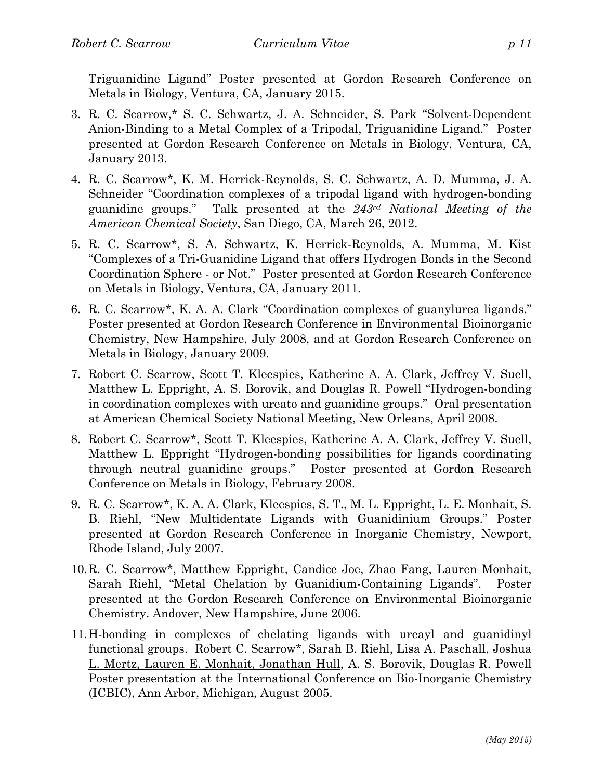Triguanidine Ligand" Poster presented at Gordon Research Conference on Metals in Biology, Ventura, CA, January 2015.

- 3. R. C. Scarrow,\* S. C. Schwartz, J. A. Schneider, S. Park "Solvent-Dependent Anion-Binding to a Metal Complex of a Tripodal, Triguanidine Ligand." Poster presented at Gordon Research Conference on Metals in Biology, Ventura, CA, January 2013.
- 4. R. C. Scarrow\*, K. M. Herrick-Reynolds, S. C. Schwartz, A. D. Mumma, J. A. Schneider "Coordination complexes of a tripodal ligand with hydrogen-bonding guanidine groups." Talk presented at the *243rd National Meeting of the American Chemical Society*, San Diego, CA, March 26, 2012.
- 5. R. C. Scarrow\*, S. A. Schwartz, K. Herrick-Reynolds, A. Mumma, M. Kist "Complexes of a Tri-Guanidine Ligand that offers Hydrogen Bonds in the Second Coordination Sphere - or Not." Poster presented at Gordon Research Conference on Metals in Biology, Ventura, CA, January 2011.
- 6. R. C. Scarrow\*, K. A. A. Clark "Coordination complexes of guanylurea ligands." Poster presented at Gordon Research Conference in Environmental Bioinorganic Chemistry, New Hampshire, July 2008, and at Gordon Research Conference on Metals in Biology, January 2009.
- 7. Robert C. Scarrow, Scott T. Kleespies, Katherine A. A. Clark, Jeffrey V. Suell, Matthew L. Eppright, A. S. Borovik, and Douglas R. Powell "Hydrogen-bonding in coordination complexes with ureato and guanidine groups." Oral presentation at American Chemical Society National Meeting, New Orleans, April 2008.
- 8. Robert C. Scarrow\*, Scott T. Kleespies, Katherine A. A. Clark, Jeffrey V. Suell, Matthew L. Eppright "Hydrogen-bonding possibilities for ligands coordinating through neutral guanidine groups." Poster presented at Gordon Research Conference on Metals in Biology, February 2008.
- 9. R. C. Scarrow\*, K. A. A. Clark, Kleespies, S. T., M. L. Eppright, L. E. Monhait, S. B. Riehl, "New Multidentate Ligands with Guanidinium Groups." Poster presented at Gordon Research Conference in Inorganic Chemistry, Newport, Rhode Island, July 2007.
- 10.R. C. Scarrow\*, Matthew Eppright, Candice Joe, Zhao Fang, Lauren Monhait, Sarah Riehl, "Metal Chelation by Guanidium-Containing Ligands". Poster presented at the Gordon Research Conference on Environmental Bioinorganic Chemistry. Andover, New Hampshire, June 2006.
- 11.H-bonding in complexes of chelating ligands with ureayl and guanidinyl functional groups. Robert C. Scarrow\*, Sarah B. Riehl, Lisa A. Paschall, Joshua L. Mertz, Lauren E. Monhait, Jonathan Hull, A. S. Borovik, Douglas R. Powell Poster presentation at the International Conference on Bio-Inorganic Chemistry (ICBIC), Ann Arbor, Michigan, August 2005.